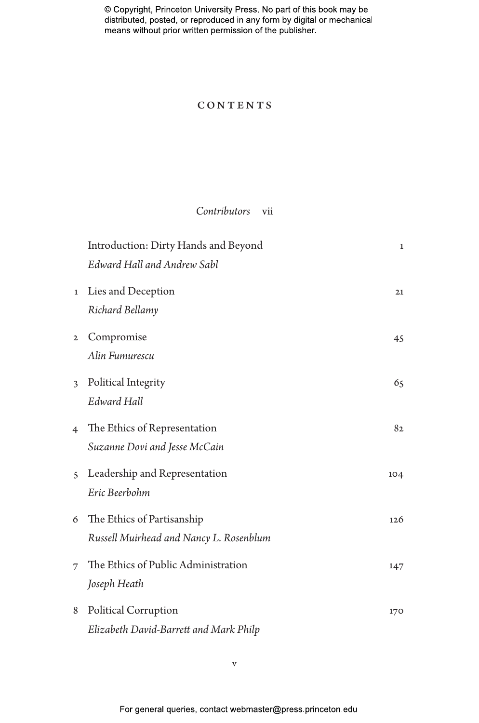## **CONTENTS**

## *Contributors* vii

|                | Introduction: Dirty Hands and Beyond    | $\mathbf{1}$ |
|----------------|-----------------------------------------|--------------|
|                | Edward Hall and Andrew Sabl             |              |
| $\mathbf{1}$   | Lies and Deception                      | 21           |
|                | Richard Bellamy                         |              |
| $\mathbf{2}$   | Compromise                              | 45           |
|                | Alin Fumurescu                          |              |
| 3              | Political Integrity                     | 65           |
|                | Edward Hall                             |              |
| $\overline{4}$ | The Ethics of Representation            | 82           |
|                | Suzanne Dovi and Jesse McCain           |              |
| $\overline{S}$ | Leadership and Representation           | 104          |
|                | Eric Beerbohm                           |              |
| 6              | The Ethics of Partisanship              | 126          |
|                | Russell Muirhead and Nancy L. Rosenblum |              |
| 7              | The Ethics of Public Administration     | 147          |
|                | Joseph Heath                            |              |
| 8              | Political Corruption                    | 170          |
|                | Elizabeth David-Barrett and Mark Philp  |              |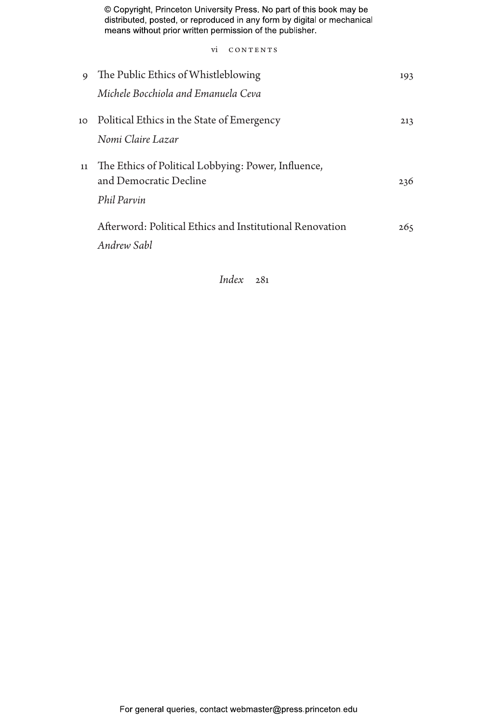vi CONTENTS

| 9  | The Public Ethics of Whistleblowing                      | 193 |
|----|----------------------------------------------------------|-----|
|    | Michele Bocchiola and Emanuela Ceva                      |     |
| 10 | Political Ethics in the State of Emergency               | 213 |
|    | Nomi Claire Lazar                                        |     |
| 11 | The Ethics of Political Lobbying: Power, Influence,      |     |
|    | and Democratic Decline                                   | 236 |
|    | Phil Parvin                                              |     |
|    | Afterword: Political Ethics and Institutional Renovation | 265 |
|    | Andrew Sabl                                              |     |
|    |                                                          |     |

*Index* 281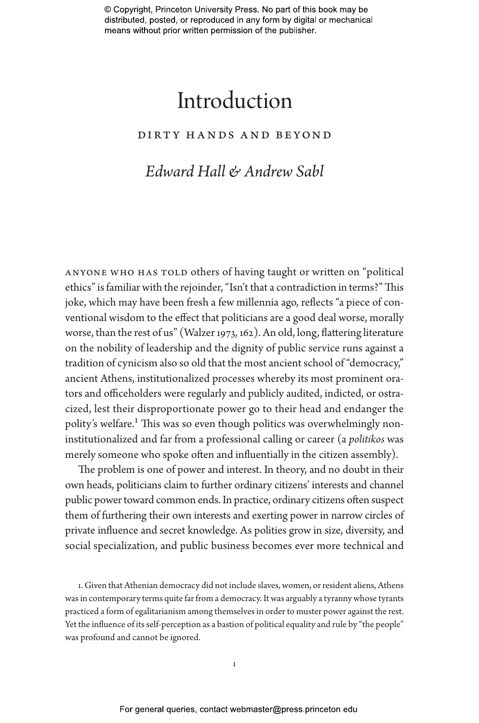# Introduction

## dirty hands and beyond

# *Edward Hall & Andrew Sabl*

anyone who has told others of having taught or written on "political ethics" is familiar with the rejoinder, "Isn't that a contradiction in terms?" This joke, which may have been fresh a few millennia ago, reflects "a piece of conventional wisdom to the effect that politicians are a good deal worse, morally worse, than the rest of us" (Walzer 1973, 162). An old, long, flattering literature on the nobility of leadership and the dignity of public service runs against a tradition of cynicism also so old that the most ancient school of "democracy," ancient Athens, institutionalized processes whereby its most prominent orators and officeholders were regularly and publicly audited, indicted, or ostracized, lest their disproportionate power go to their head and endanger the polity's welfare.<sup>1</sup> This was so even though politics was overwhelmingly noninstitutionalized and far from a professional calling or career (a *politikos* was merely someone who spoke often and influentially in the citizen assembly).

The problem is one of power and interest. In theory, and no doubt in their own heads, politicians claim to further ordinary citizens' interests and channel public power toward common ends. In practice, ordinary citizens often suspect them of furthering their own interests and exerting power in narrow circles of private influence and secret knowledge. As polities grow in size, diversity, and social specialization, and public business becomes ever more technical and

1. Given that Athenian democracy did not include slaves, women, or resident aliens, Athens was in contemporary terms quite far from a democracy. It was arguably a tyranny whose tyrants practiced a form of egalitarianism among themselves in order to muster power against the rest. Yet the influence of its self-perception as a bastion of political equality and rule by "the people" was profound and cannot be ignored.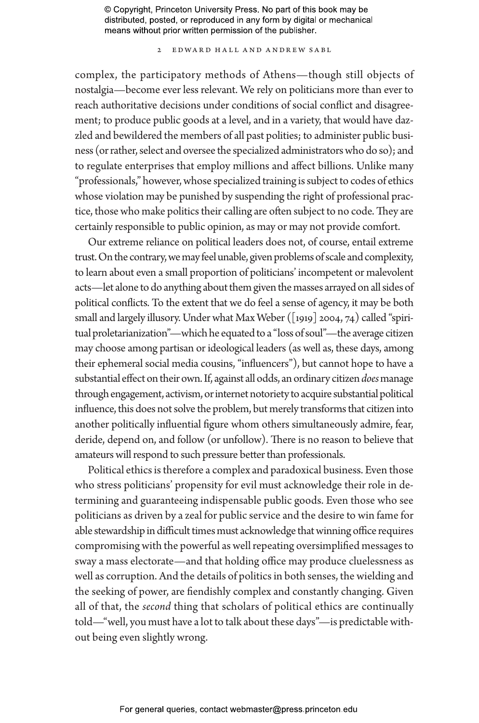2 Edward Hall and Andrew Sabl

complex, the participatory methods of Athens—though still objects of nostalgia—become ever less relevant. We rely on politicians more than ever to reach authoritative decisions under conditions of social conflict and disagreement; to produce public goods at a level, and in a variety, that would have dazzled and bewildered the members of all past polities; to administer public business (or rather, select and oversee the specialized administrators who do so); and to regulate enterprises that employ millions and affect billions. Unlike many "professionals," however, whose specialized training is subject to codes of ethics whose violation may be punished by suspending the right of professional practice, those who make politics their calling are often subject to no code. They are certainly responsible to public opinion, as may or may not provide comfort.

Our extreme reliance on political leaders does not, of course, entail extreme trust. On the contrary, we may feel unable, given problems of scale and complexity, to learn about even a small proportion of politicians' incompetent or malevolent acts—let alone to do anything about them given the masses arrayed on all sides of political conflicts. To the extent that we do feel a sense of agency, it may be both small and largely illusory. Under what Max Weber ([1919] 2004, 74) called "spiritual proletarianization"—which he equated to a "loss of soul"—the average citizen may choose among partisan or ideological leaders (as well as, these days, among their ephemeral social media cousins, "influencers"), but cannot hope to have a substantial effect on their own. If, against all odds, an ordinary citizen *does* manage through engagement, activism, or internet notoriety to acquire substantial political influence, this does not solve the problem, but merely transforms that citizen into another politically influential figure whom others simultaneously admire, fear, deride, depend on, and follow (or unfollow). There is no reason to believe that amateurs will respond to such pressure better than professionals.

Political ethics is therefore a complex and paradoxical business. Even those who stress politicians' propensity for evil must acknowledge their role in determining and guaranteeing indispensable public goods. Even those who see politicians as driven by a zeal for public service and the desire to win fame for able stewardship in difficult times must acknowledge that winning office requires compromising with the powerful as well repeating oversimplified messages to sway a mass electorate—and that holding office may produce cluelessness as well as corruption. And the details of politics in both senses, the wielding and the seeking of power, are fiendishly complex and constantly changing. Given all of that, the *second* thing that scholars of political ethics are continually told—"well, you must have a lot to talk about these days"—is predictable without being even slightly wrong.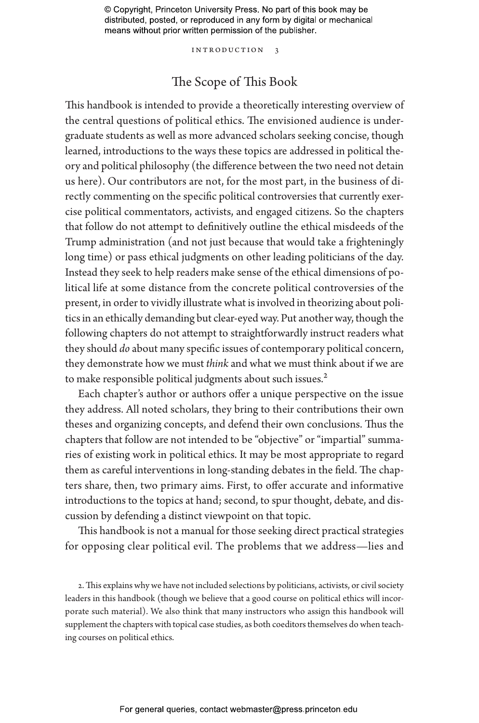Introduction 3

# The Scope of This Book

This handbook is intended to provide a theoretically interesting overview of the central questions of political ethics. The envisioned audience is undergraduate students as well as more advanced scholars seeking concise, though learned, introductions to the ways these topics are addressed in political theory and political philosophy (the difference between the two need not detain us here). Our contributors are not, for the most part, in the business of directly commenting on the specific political controversies that currently exercise political commentators, activists, and engaged citizens. So the chapters that follow do not attempt to definitively outline the ethical misdeeds of the Trump administration (and not just because that would take a frighteningly long time) or pass ethical judgments on other leading politicians of the day. Instead they seek to help readers make sense of the ethical dimensions of political life at some distance from the concrete political controversies of the present, in order to vividly illustrate what is involved in theorizing about politics in an ethically demanding but clear-eyed way. Put another way, though the following chapters do not attempt to straightforwardly instruct readers what they should *do* about many specific issues of contemporary political concern, they demonstrate how we must *think* and what we must think about if we are to make responsible political judgments about such issues.<sup>2</sup>

Each chapter's author or authors offer a unique perspective on the issue they address. All noted scholars, they bring to their contributions their own theses and organizing concepts, and defend their own conclusions. Thus the chapters that follow are not intended to be "objective" or "impartial" summaries of existing work in political ethics. It may be most appropriate to regard them as careful interventions in long-standing debates in the field. The chapters share, then, two primary aims. First, to offer accurate and informative introductions to the topics at hand; second, to spur thought, debate, and discussion by defending a distinct viewpoint on that topic.

This handbook is not a manual for those seeking direct practical strategies for opposing clear political evil. The problems that we address—lies and

2. This explains why we have not included selections by politicians, activists, or civil society leaders in this handbook (though we believe that a good course on political ethics will incorporate such material). We also think that many instructors who assign this handbook will supplement the chapters with topical case studies, as both coeditors themselves do when teaching courses on political ethics.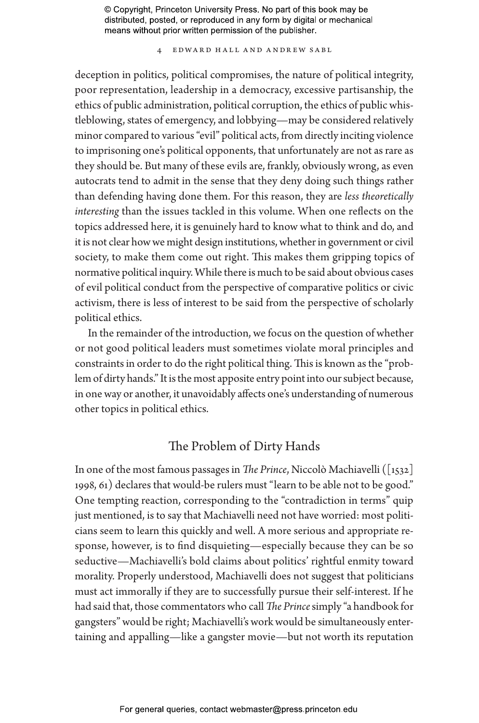4 Edward Hall and Andrew Sabl

deception in politics, political compromises, the nature of political integrity, poor representation, leadership in a democracy, excessive partisanship, the ethics of public administration, political corruption, the ethics of public whistleblowing, states of emergency, and lobbying—may be considered relatively minor compared to various "evil" political acts, from directly inciting violence to imprisoning one's political opponents, that unfortunately are not as rare as they should be. But many of these evils are, frankly, obviously wrong, as even autocrats tend to admit in the sense that they deny doing such things rather than defending having done them. For this reason, they are *less theoretically interesting* than the issues tackled in this volume. When one reflects on the topics addressed here, it is genuinely hard to know what to think and do, and it is not clear how we might design institutions, whether in government or civil society, to make them come out right. This makes them gripping topics of normative political inquiry. While there is much to be said about obvious cases of evil political conduct from the perspective of comparative politics or civic activism, there is less of interest to be said from the perspective of scholarly political ethics.

In the remainder of the introduction, we focus on the question of whether or not good political leaders must sometimes violate moral principles and constraints in order to do the right political thing. This is known as the "problem of dirty hands." It is the most apposite entry point into our subject because, in one way or another, it unavoidably affects one's understanding of numerous other topics in political ethics.

## The Problem of Dirty Hands

In one of the most famous passages in *The Prince*, Niccolò Machiavelli ([1532] 1998, 61) declares that would-be rulers must "learn to be able not to be good." One tempting reaction, corresponding to the "contradiction in terms" quip just mentioned, is to say that Machiavelli need not have worried: most politicians seem to learn this quickly and well. A more serious and appropriate response, however, is to find disquieting—especially because they can be so seductive—Machiavelli's bold claims about politics' rightful enmity toward morality. Properly understood, Machiavelli does not suggest that politicians must act immorally if they are to successfully pursue their self-interest. If he had said that, those commentators who call *The Prince* simply "a handbook for gangsters" would be right; Machiavelli's work would be simultaneously entertaining and appalling—like a gangster movie—but not worth its reputation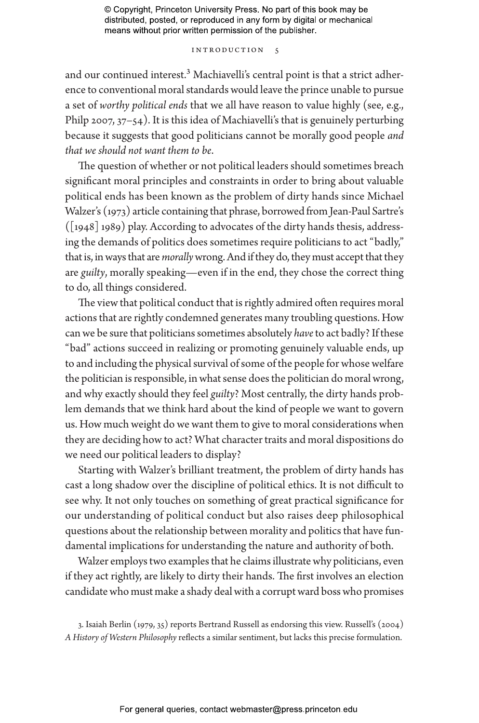#### Introduction 5

and our continued interest.<sup>3</sup> Machiavelli's central point is that a strict adherence to conventional moral standards would leave the prince unable to pursue a set of *worthy political ends* that we all have reason to value highly (see, e.g., Philp 2007, 37-54). It is this idea of Machiavelli's that is genuinely perturbing because it suggests that good politicians cannot be morally good people *and that we should not want them to be*.

The question of whether or not political leaders should sometimes breach significant moral principles and constraints in order to bring about valuable political ends has been known as the problem of dirty hands since Michael Walzer's (1973) article containing that phrase, borrowed from Jean-Paul Sartre's  $([1948] 1989)$  play. According to advocates of the dirty hands thesis, addressing the demands of politics does sometimes require politicians to act "badly," that is, in ways that are *morally* wrong. And if they do, they must accept that they are *guilty*, morally speaking—even if in the end, they chose the correct thing to do, all things considered.

The view that political conduct that is rightly admired often requires moral actions that are rightly condemned generates many troubling questions. How can we be sure that politicians sometimes absolutely *have* to act badly? If these "bad" actions succeed in realizing or promoting genuinely valuable ends, up to and including the physical survival of some of the people for whose welfare the politician is responsible, in what sense does the politician do moral wrong, and why exactly should they feel *guilty*? Most centrally, the dirty hands problem demands that we think hard about the kind of people we want to govern us. How much weight do we want them to give to moral considerations when they are deciding how to act? What character traits and moral dispositions do we need our political leaders to display?

Starting with Walzer's brilliant treatment, the problem of dirty hands has cast a long shadow over the discipline of political ethics. It is not difficult to see why. It not only touches on something of great practical significance for our understanding of political conduct but also raises deep philosophical questions about the relationship between morality and politics that have fundamental implications for understanding the nature and authority of both.

Walzer employs two examples that he claims illustrate why politicians, even if they act rightly, are likely to dirty their hands. The first involves an election candidate who must make a shady deal with a corrupt ward boss who promises

<sup>3.</sup> Isaiah Berlin (1979, 35) reports Bertrand Russell as endorsing this view. Russell's (2004) *A History of Western Philosophy* reflects a similar sentiment, but lacks this precise formulation.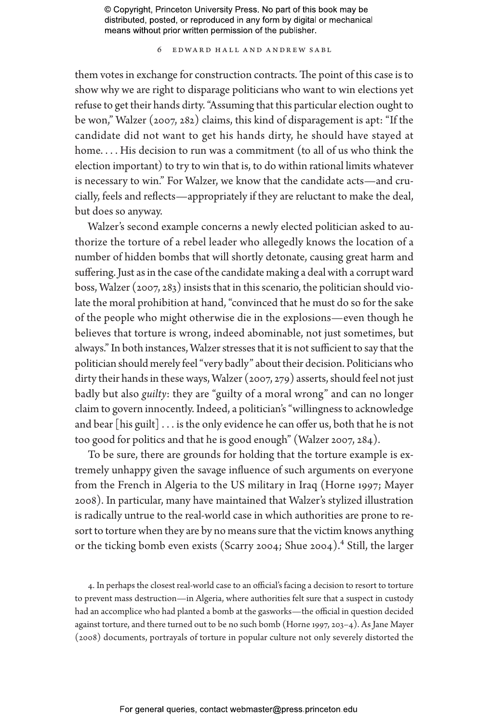6 Edward Hall and Andrew Sabl

them votes in exchange for construction contracts. The point of this case is to show why we are right to disparage politicians who want to win elections yet refuse to get their hands dirty. "Assuming that this particular election ought to be won," Walzer (2007, 282) claims, this kind of disparagement is apt: "If the candidate did not want to get his hands dirty, he should have stayed at home.... His decision to run was a commitment (to all of us who think the election important) to try to win that is, to do within rational limits whatever is necessary to win." For Walzer, we know that the candidate acts—and crucially, feels and reflects—appropriately if they are reluctant to make the deal, but does so anyway.

Walzer's second example concerns a newly elected politician asked to authorize the torture of a rebel leader who allegedly knows the location of a number of hidden bombs that will shortly detonate, causing great harm and suffering. Just as in the case of the candidate making a deal with a corrupt ward boss, Walzer (2007, 283) insists that in this scenario, the politician should violate the moral prohibition at hand, "convinced that he must do so for the sake of the people who might otherwise die in the explosions—even though he believes that torture is wrong, indeed abominable, not just sometimes, but always." In both instances, Walzer stresses that it is not sufficient to say that the politician should merely feel "very badly" about their decision. Politicians who dirty their hands in these ways, Walzer (2007, 279) asserts, should feel not just badly but also *guilty*: they are "guilty of a moral wrong" and can no longer claim to govern innocently. Indeed, a politician's "willingness to acknowledge and bear [his guilt]  $\dots$  is the only evidence he can offer us, both that he is not too good for politics and that he is good enough" (Walzer 2007, 284).

To be sure, there are grounds for holding that the torture example is extremely unhappy given the savage influence of such arguments on everyone from the French in Algeria to the US military in Iraq (Horne 1997; Mayer 2008). In particular, many have maintained that Walzer's stylized illustration is radically untrue to the real-world case in which authorities are prone to resort to torture when they are by no means sure that the victim knows anything or the ticking bomb even exists (Scarry 2004; Shue 2004).<sup>4</sup> Still, the larger

4. In perhaps the closest real-world case to an official's facing a decision to resort to torture to prevent mass destruction—in Algeria, where authorities felt sure that a suspect in custody had an accomplice who had planted a bomb at the gasworks—the official in question decided against torture, and there turned out to be no such bomb (Horne 1997, 203–4). As Jane Mayer (2008) documents, portrayals of torture in popular culture not only severely distorted the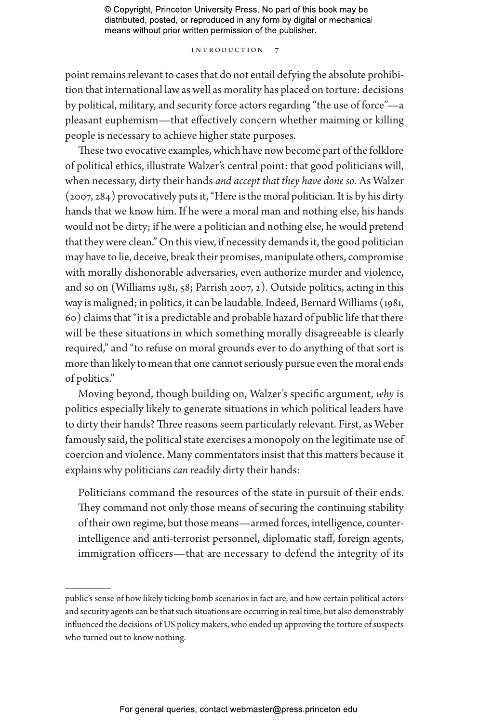#### INTRODUCTION 7

point remains relevant to cases that do not entail defying the absolute prohibition that international law as well as morality has placed on torture: decisions by political, military, and security force actors regarding "the use of force"—a pleasant euphemism—that effectively concern whether maiming or killing people is necessary to achieve higher state purposes.

These two evocative examples, which have now become part of the folklore of political ethics, illustrate Walzer's central point: that good politicians will, when necessary, dirty their hands *and accept that they have done so*. As Walzer (2007, 284) provocatively puts it, "Here is the moral politician. It is by his dirty hands that we know him. If he were a moral man and nothing else, his hands would not be dirty; if he were a politician and nothing else, he would pretend that they were clean." On this view, if necessity demands it, the good politician may have to lie, deceive, break their promises, manipulate others, compromise with morally dishonorable adversaries, even authorize murder and violence, and so on (Williams 1981, 58; Parrish 2007, 2). Outside politics, acting in this way is maligned; in politics, it can be laudable. Indeed, Bernard Williams (1981, 60) claims that "it is a predictable and probable hazard of public life that there will be these situations in which something morally disagreeable is clearly required," and "to refuse on moral grounds ever to do anything of that sort is more than likely to mean that one cannot seriously pursue even the moral ends of politics."

Moving beyond, though building on, Walzer's specific argument, *why* is politics especially likely to generate situations in which political leaders have to dirty their hands? Three reasons seem particularly relevant. First, as Weber famously said, the political state exercises a monopoly on the legitimate use of coercion and violence. Many commentators insist that this matters because it explains why politicians *can* readily dirty their hands:

Politicians command the resources of the state in pursuit of their ends. They command not only those means of securing the continuing stability of their own regime, but those means—armed forces, intelligence, counterintelligence and anti-terrorist personnel, diplomatic staff, foreign agents, immigration officers—that are necessary to defend the integrity of its

public's sense of how likely ticking bomb scenarios in fact are, and how certain political actors and security agents can be that such situations are occurring in real time, but also demonstrably influenced the decisions of US policy makers, who ended up approving the torture of suspects who turned out to know nothing.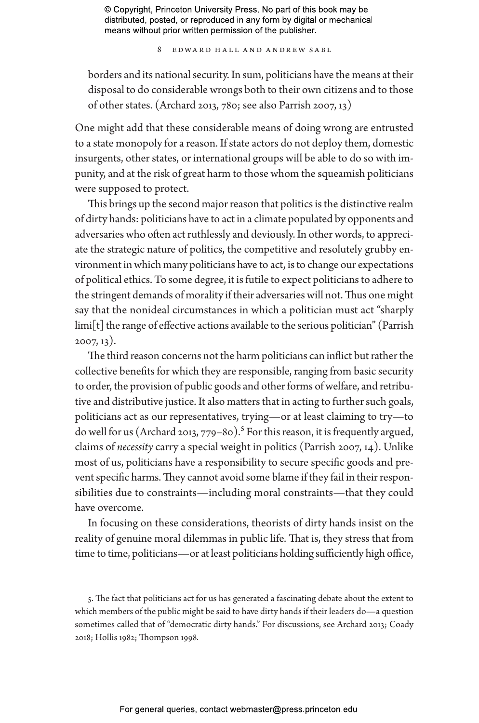8 Edward Hall and Andrew Sabl

borders and its national security. In sum, politicians have the means at their disposal to do considerable wrongs both to their own citizens and to those of other states. (Archard 2013, 780; see also Parrish 2007, 13)

One might add that these considerable means of doing wrong are entrusted to a state monopoly for a reason. If state actors do not deploy them, domestic insurgents, other states, or international groups will be able to do so with impunity, and at the risk of great harm to those whom the squeamish politicians were supposed to protect.

This brings up the second major reason that politics is the distinctive realm of dirty hands: politicians have to act in a climate populated by opponents and adversaries who often act ruthlessly and deviously. In other words, to appreciate the strategic nature of politics, the competitive and resolutely grubby environment in which many politicians have to act, is to change our expectations of political ethics. To some degree, it is futile to expect politicians to adhere to the stringent demands of morality if their adversaries will not. Thus one might say that the nonideal circumstances in which a politician must act "sharply limi[t] the range of effective actions available to the serious politician" (Parrish 2007, 13).

The third reason concerns not the harm politicians can inflict but rather the collective benefits for which they are responsible, ranging from basic security to order, the provision of public goods and other forms of welfare, and retributive and distributive justice. It also matters that in acting to further such goals, politicians act as our representatives, trying—or at least claiming to try—to do well for us (Archard 2013, 779–80).<sup>5</sup> For this reason, it is frequently argued, claims of *necessity* carry a special weight in politics (Parrish 2007, 14). Unlike most of us, politicians have a responsibility to secure specific goods and prevent specific harms. They cannot avoid some blame if they fail in their responsibilities due to constraints—including moral constraints—that they could have overcome.

In focusing on these considerations, theorists of dirty hands insist on the reality of genuine moral dilemmas in public life. That is, they stress that from time to time, politicians—or at least politicians holding sufficiently high office,

5. The fact that politicians act for us has generated a fascinating debate about the extent to which members of the public might be said to have dirty hands if their leaders do—a question sometimes called that of "democratic dirty hands." For discussions, see Archard 2013; Coady 2018; Hollis 1982; Thompson 1998.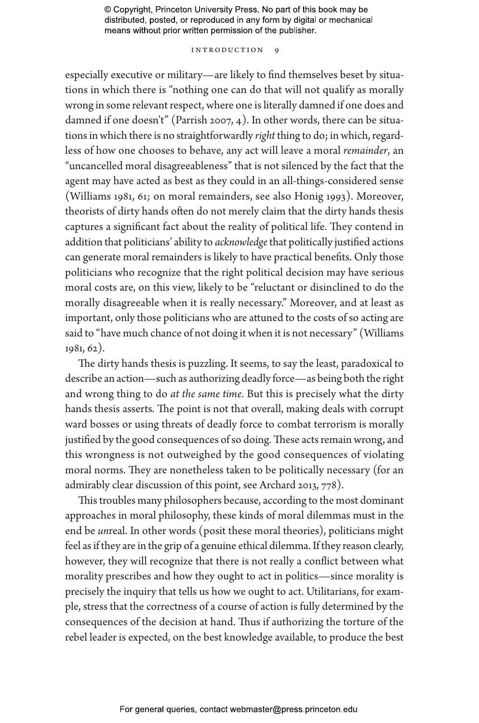#### INTRODUCTION 9

especially executive or military—are likely to find themselves beset by situations in which there is "nothing one can do that will not qualify as morally wrong in some relevant respect, where one is literally damned if one does and damned if one doesn't" (Parrish 2007, 4). In other words, there can be situations in which there is no straightforwardly *right* thing to do; in which, regardless of how one chooses to behave, any act will leave a moral *remainder*, an "uncancelled moral disagreeableness" that is not silenced by the fact that the agent may have acted as best as they could in an all-things-considered sense (Williams 1981, 61; on moral remainders, see also Honig 1993). Moreover, theorists of dirty hands often do not merely claim that the dirty hands thesis captures a significant fact about the reality of political life. They contend in addition that politicians' ability to *acknowledge* that politically justified actions can generate moral remainders is likely to have practical benefits. Only those politicians who recognize that the right political decision may have serious moral costs are, on this view, likely to be "reluctant or disinclined to do the morally disagreeable when it is really necessary." Moreover, and at least as important, only those politicians who are attuned to the costs of so acting are said to "have much chance of not doing it when it is not necessary" (Williams 1981, 62).

The dirty hands thesis is puzzling. It seems, to say the least, paradoxical to describe an action—such as authorizing deadly force—as being both the right and wrong thing to do *at the same time*. But this is precisely what the dirty hands thesis asserts. The point is not that overall, making deals with corrupt ward bosses or using threats of deadly force to combat terrorism is morally justified by the good consequences of so doing. These acts remain wrong, and this wrongness is not outweighed by the good consequences of violating moral norms. They are nonetheless taken to be politically necessary (for an admirably clear discussion of this point, see Archard 2013, 778).

This troubles many philosophers because, according to the most dominant approaches in moral philosophy, these kinds of moral dilemmas must in the end be *un*real. In other words (posit these moral theories), politicians might feel as if they are in the grip of a genuine ethical dilemma. If they reason clearly, however, they will recognize that there is not really a conflict between what morality prescribes and how they ought to act in politics—since morality is precisely the inquiry that tells us how we ought to act. Utilitarians, for example, stress that the correctness of a course of action is fully determined by the consequences of the decision at hand. Thus if authorizing the torture of the rebel leader is expected, on the best knowledge available, to produce the best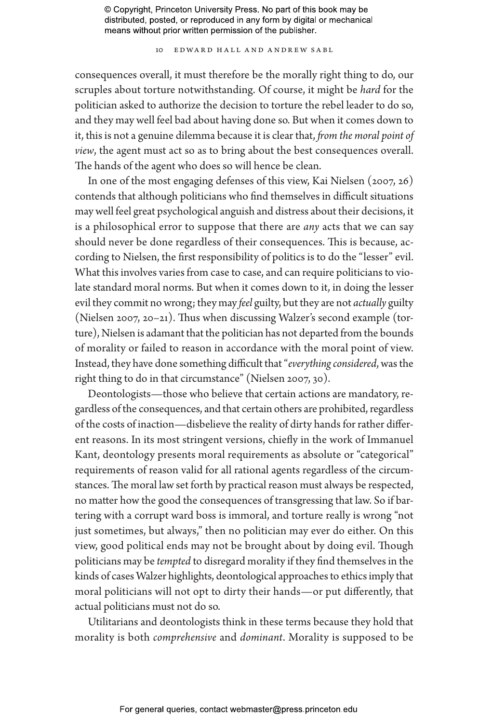10 Edward Hall and Andrew Sabl

consequences overall, it must therefore be the morally right thing to do, our scruples about torture notwithstanding. Of course, it might be *hard* for the politician asked to authorize the decision to torture the rebel leader to do so, and they may well feel bad about having done so. But when it comes down to it, this is not a genuine dilemma because it is clear that, *from the moral point of view*, the agent must act so as to bring about the best consequences overall. The hands of the agent who does so will hence be clean.

In one of the most engaging defenses of this view, Kai Nielsen (2007, 26) contends that although politicians who find themselves in difficult situations may well feel great psychological anguish and distress about their decisions, it is a philosophical error to suppose that there are *any* acts that we can say should never be done regardless of their consequences. This is because, according to Nielsen, the first responsibility of politics is to do the "lesser" evil. What this involves varies from case to case, and can require politicians to violate standard moral norms. But when it comes down to it, in doing the lesser evil they commit no wrong; they may *feel* guilty, but they are not *actually* guilty (Nielsen 2007, 20–21). Thus when discussing Walzer's second example (torture), Nielsen is adamant that the politician has not departed from the bounds of morality or failed to reason in accordance with the moral point of view. Instead, they have done something difficult that "*everything considered*, was the right thing to do in that circumstance" (Nielsen 2007, 30).

Deontologists—those who believe that certain actions are mandatory, regardless of the consequences, and that certain others are prohibited, regardless of the costs of inaction—disbelieve the reality of dirty hands for rather different reasons. In its most stringent versions, chiefly in the work of Immanuel Kant, deontology presents moral requirements as absolute or "categorical" requirements of reason valid for all rational agents regardless of the circumstances. The moral law set forth by practical reason must always be respected, no matter how the good the consequences of transgressing that law. So if bartering with a corrupt ward boss is immoral, and torture really is wrong "not just sometimes, but always," then no politician may ever do either. On this view, good political ends may not be brought about by doing evil. Though politicians may be *tempted* to disregard morality if they find themselves in the kinds of cases Walzer highlights, deontological approaches to ethics imply that moral politicians will not opt to dirty their hands—or put differently, that actual politicians must not do so.

Utilitarians and deontologists think in these terms because they hold that morality is both *comprehensive* and *dominant*. Morality is supposed to be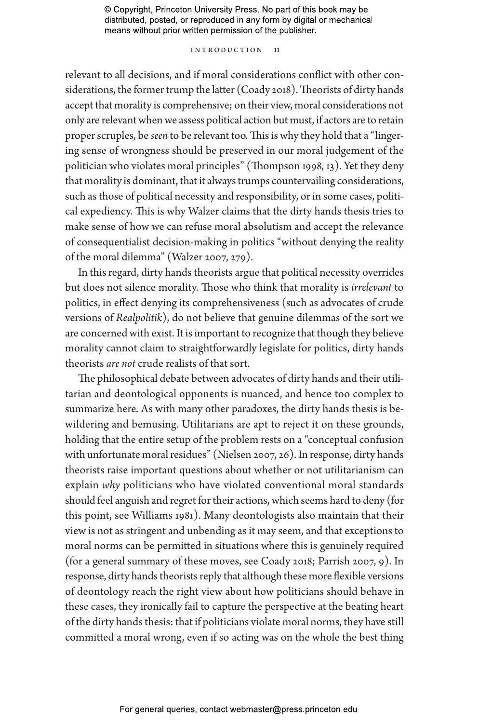#### INTRODUCTION 11

relevant to all decisions, and if moral considerations conflict with other considerations, the former trump the latter (Coady 2018). Theorists of dirty hands accept that morality is comprehensive; on their view, moral considerations not only are relevant when we assess political action but must, if actors are to retain proper scruples, be *seen* to be relevant too. This is why they hold that a "lingering sense of wrongness should be preserved in our moral judgement of the politician who violates moral principles" (Thompson 1998, 13). Yet they deny that morality is dominant, that it always trumps countervailing considerations, such as those of political necessity and responsibility, or in some cases, political expediency. This is why Walzer claims that the dirty hands thesis tries to make sense of how we can refuse moral absolutism and accept the relevance of consequentialist decision-making in politics "without denying the reality of the moral dilemma" (Walzer 2007, 279).

In this regard, dirty hands theorists argue that political necessity overrides but does not silence morality. Those who think that morality is *irrelevant* to politics, in effect denying its comprehensiveness (such as advocates of crude versions of *Realpolitik*), do not believe that genuine dilemmas of the sort we are concerned with exist. It is important to recognize that though they believe morality cannot claim to straightforwardly legislate for politics, dirty hands theorists *are not* crude realists of that sort.

The philosophical debate between advocates of dirty hands and their utilitarian and deontological opponents is nuanced, and hence too complex to summarize here. As with many other paradoxes, the dirty hands thesis is bewildering and bemusing. Utilitarians are apt to reject it on these grounds, holding that the entire setup of the problem rests on a "conceptual confusion with unfortunate moral residues" (Nielsen 2007, 26). In response, dirty hands theorists raise important questions about whether or not utilitarianism can explain *why* politicians who have violated conventional moral standards should feel anguish and regret for their actions, which seems hard to deny (for this point, see Williams 1981). Many deontologists also maintain that their view is not as stringent and unbending as it may seem, and that exceptions to moral norms can be permitted in situations where this is genuinely required (for a general summary of these moves, see Coady 2018; Parrish 2007, 9). In response, dirty hands theorists reply that although these more flexible versions of deontology reach the right view about how politicians should behave in these cases, they ironically fail to capture the perspective at the beating heart of the dirty hands thesis: that if politicians violate moral norms, they have still committed a moral wrong, even if so acting was on the whole the best thing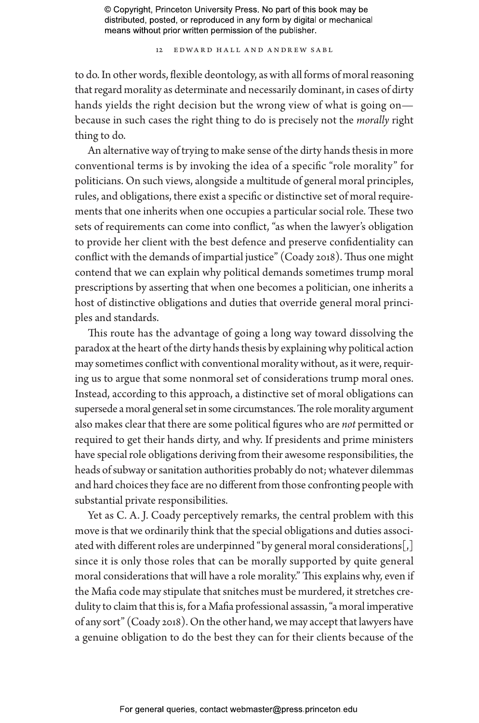12 Edward Hall and Andrew Sabl

to do. In other words, flexible deontology, as with all forms of moral reasoning that regard morality as determinate and necessarily dominant, in cases of dirty hands yields the right decision but the wrong view of what is going on because in such cases the right thing to do is precisely not the *morally* right thing to do.

An alternative way of trying to make sense of the dirty hands thesis in more conventional terms is by invoking the idea of a specific "role morality" for politicians. On such views, alongside a multitude of general moral principles, rules, and obligations, there exist a specific or distinctive set of moral requirements that one inherits when one occupies a particular social role. These two sets of requirements can come into conflict, "as when the lawyer's obligation to provide her client with the best defence and preserve confidentiality can conflict with the demands of impartial justice" (Coady 2018). Thus one might contend that we can explain why political demands sometimes trump moral prescriptions by asserting that when one becomes a politician, one inherits a host of distinctive obligations and duties that override general moral principles and standards.

This route has the advantage of going a long way toward dissolving the paradox at the heart of the dirty hands thesis by explaining why political action may sometimes conflict with conventional morality without, as it were, requiring us to argue that some nonmoral set of considerations trump moral ones. Instead, according to this approach, a distinctive set of moral obligations can supersede a moral general set in some circumstances. The role morality argument also makes clear that there are some political figures who are *not* permitted or required to get their hands dirty, and why. If presidents and prime ministers have special role obligations deriving from their awesome responsibilities, the heads of subway or sanitation authorities probably do not; whatever dilemmas and hard choices they face are no different from those confronting people with substantial private responsibilities.

Yet as C. A. J. Coady perceptively remarks, the central problem with this move is that we ordinarily think that the special obligations and duties associated with different roles are underpinned "by general moral considerations[,] since it is only those roles that can be morally supported by quite general moral considerations that will have a role morality." This explains why, even if the Mafia code may stipulate that snitches must be murdered, it stretches credulity to claim that this is, for a Mafia professional assassin, "a moral imperative of any sort" (Coady 2018). On the other hand, we may accept that lawyers have a genuine obligation to do the best they can for their clients because of the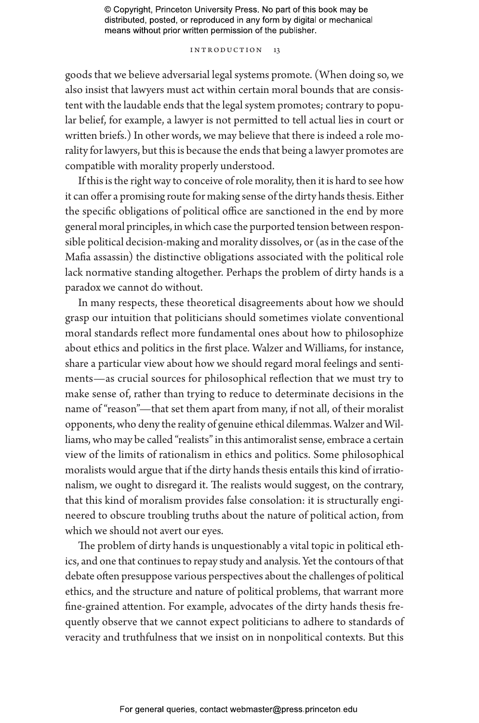#### INTRODUCTION 13

goods that we believe adversarial legal systems promote. (When doing so, we also insist that lawyers must act within certain moral bounds that are consistent with the laudable ends that the legal system promotes; contrary to popular belief, for example, a lawyer is not permitted to tell actual lies in court or written briefs.) In other words, we may believe that there is indeed a role morality for lawyers, but this is because the ends that being a lawyer promotes are compatible with morality properly understood.

If this is the right way to conceive of role morality, then it is hard to see how it can offer a promising route for making sense of the dirty hands thesis. Either the specific obligations of political office are sanctioned in the end by more general moral principles, in which case the purported tension between responsible political decision-making and morality dissolves, or (as in the case of the Mafia assassin) the distinctive obligations associated with the political role lack normative standing altogether. Perhaps the problem of dirty hands is a paradox we cannot do without.

In many respects, these theoretical disagreements about how we should grasp our intuition that politicians should sometimes violate conventional moral standards reflect more fundamental ones about how to philosophize about ethics and politics in the first place. Walzer and Williams, for instance, share a particular view about how we should regard moral feelings and sentiments—as crucial sources for philosophical reflection that we must try to make sense of, rather than trying to reduce to determinate decisions in the name of "reason"—that set them apart from many, if not all, of their moralist opponents, who deny the reality of genuine ethical dilemmas. Walzer and Williams, who may be called "realists" in this antimoralist sense, embrace a certain view of the limits of rationalism in ethics and politics. Some philosophical moralists would argue that if the dirty hands thesis entails this kind of irrationalism, we ought to disregard it. The realists would suggest, on the contrary, that this kind of moralism provides false consolation: it is structurally engineered to obscure troubling truths about the nature of political action, from which we should not avert our eyes.

The problem of dirty hands is unquestionably a vital topic in political ethics, and one that continues to repay study and analysis. Yet the contours of that debate often presuppose various perspectives about the challenges of political ethics, and the structure and nature of political problems, that warrant more fine-grained attention. For example, advocates of the dirty hands thesis frequently observe that we cannot expect politicians to adhere to standards of veracity and truthfulness that we insist on in nonpolitical contexts. But this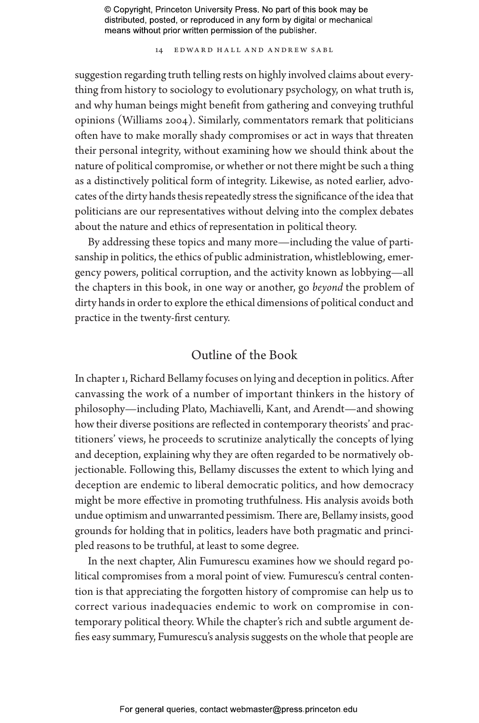14 Edward Hall and Andrew Sabl

suggestion regarding truth telling rests on highly involved claims about everything from history to sociology to evolutionary psychology, on what truth is, and why human beings might benefit from gathering and conveying truthful opinions (Williams 2004). Similarly, commentators remark that politicians often have to make morally shady compromises or act in ways that threaten their personal integrity, without examining how we should think about the nature of political compromise, or whether or not there might be such a thing as a distinctively political form of integrity. Likewise, as noted earlier, advocates of the dirty hands thesis repeatedly stress the significance of the idea that politicians are our representatives without delving into the complex debates about the nature and ethics of representation in political theory.

By addressing these topics and many more—including the value of partisanship in politics, the ethics of public administration, whistleblowing, emergency powers, political corruption, and the activity known as lobbying—all the chapters in this book, in one way or another, go *beyond* the problem of dirty hands in order to explore the ethical dimensions of political conduct and practice in the twenty-first century.

## Outline of the Book

In chapter 1, Richard Bellamy focuses on lying and deception in politics. After canvassing the work of a number of important thinkers in the history of philosophy—including Plato, Machiavelli, Kant, and Arendt—and showing how their diverse positions are reflected in contemporary theorists' and practitioners' views, he proceeds to scrutinize analytically the concepts of lying and deception, explaining why they are often regarded to be normatively objectionable. Following this, Bellamy discusses the extent to which lying and deception are endemic to liberal democratic politics, and how democracy might be more effective in promoting truthfulness. His analysis avoids both undue optimism and unwarranted pessimism. There are, Bellamy insists, good grounds for holding that in politics, leaders have both pragmatic and principled reasons to be truthful, at least to some degree.

In the next chapter, Alin Fumurescu examines how we should regard political compromises from a moral point of view. Fumurescu's central contention is that appreciating the forgotten history of compromise can help us to correct various inadequacies endemic to work on compromise in contemporary political theory. While the chapter's rich and subtle argument defies easy summary, Fumurescu's analysis suggests on the whole that people are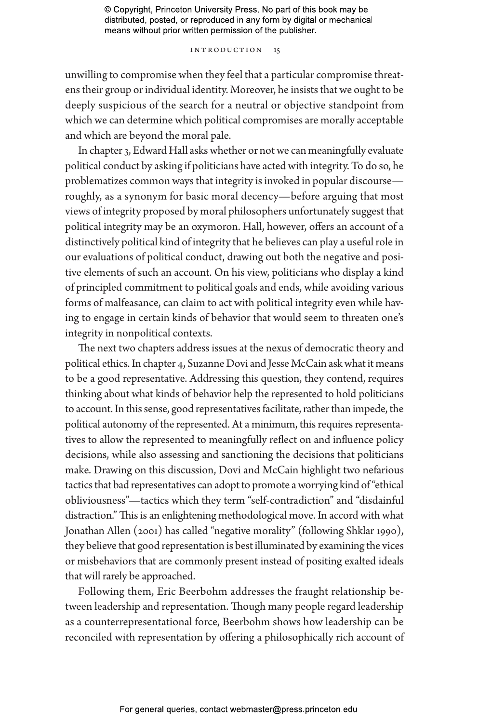#### Introduction 15

unwilling to compromise when they feel that a particular compromise threatens their group or individual identity. Moreover, he insists that we ought to be deeply suspicious of the search for a neutral or objective standpoint from which we can determine which political compromises are morally acceptable and which are beyond the moral pale.

In chapter 3, Edward Hall asks whether or not we can meaningfully evaluate political conduct by asking if politicians have acted with integrity. To do so, he problematizes common ways that integrity is invoked in popular discourse roughly, as a synonym for basic moral decency—before arguing that most views of integrity proposed by moral philosophers unfortunately suggest that political integrity may be an oxymoron. Hall, however, offers an account of a distinctively political kind of integrity that he believes can play a useful role in our evaluations of political conduct, drawing out both the negative and positive elements of such an account. On his view, politicians who display a kind of principled commitment to political goals and ends, while avoiding various forms of malfeasance, can claim to act with political integrity even while having to engage in certain kinds of behavior that would seem to threaten one's integrity in nonpolitical contexts.

The next two chapters address issues at the nexus of democratic theory and political ethics. In chapter 4, Suzanne Dovi and Jesse McCain ask what it means to be a good representative. Addressing this question, they contend, requires thinking about what kinds of behavior help the represented to hold politicians to account. In this sense, good representatives facilitate, rather than impede, the political autonomy of the represented. At a minimum, this requires representatives to allow the represented to meaningfully reflect on and influence policy decisions, while also assessing and sanctioning the decisions that politicians make. Drawing on this discussion, Dovi and McCain highlight two nefarious tactics that bad representatives can adopt to promote a worrying kind of "ethical obliviousness"—tactics which they term "self-contradiction" and "disdainful distraction." This is an enlightening methodological move. In accord with what Jonathan Allen (2001) has called "negative morality" (following Shklar 1990), they believe that good representation is best illuminated by examining the vices or misbehaviors that are commonly present instead of positing exalted ideals that will rarely be approached.

Following them, Eric Beerbohm addresses the fraught relationship between leadership and representation. Though many people regard leadership as a counterrepresentational force, Beerbohm shows how leadership can be reconciled with representation by offering a philosophically rich account of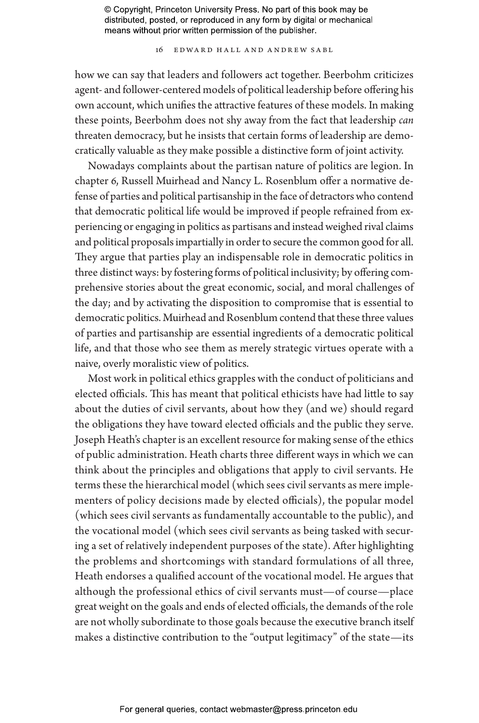16 Edward Hall and Andrew Sabl

how we can say that leaders and followers act together. Beerbohm criticizes agent- and follower-centered models of political leadership before offering his own account, which unifies the attractive features of these models. In making these points, Beerbohm does not shy away from the fact that leadership *can* threaten democracy, but he insists that certain forms of leadership are democratically valuable as they make possible a distinctive form of joint activity.

Nowadays complaints about the partisan nature of politics are legion. In chapter 6, Russell Muirhead and Nancy L. Rosenblum offer a normative defense of parties and political partisanship in the face of detractors who contend that democratic political life would be improved if people refrained from experiencing or engaging in politics as partisans and instead weighed rival claims and political proposals impartially in order to secure the common good for all. They argue that parties play an indispensable role in democratic politics in three distinct ways: by fostering forms of political inclusivity; by offering comprehensive stories about the great economic, social, and moral challenges of the day; and by activating the disposition to compromise that is essential to democratic politics. Muirhead and Rosenblum contend that these three values of parties and partisanship are essential ingredients of a democratic political life, and that those who see them as merely strategic virtues operate with a naive, overly moralistic view of politics.

Most work in political ethics grapples with the conduct of politicians and elected officials. This has meant that political ethicists have had little to say about the duties of civil servants, about how they (and we) should regard the obligations they have toward elected officials and the public they serve. Joseph Heath's chapter is an excellent resource for making sense of the ethics of public administration. Heath charts three different ways in which we can think about the principles and obligations that apply to civil servants. He terms these the hierarchical model (which sees civil servants as mere implementers of policy decisions made by elected officials), the popular model (which sees civil servants as fundamentally accountable to the public), and the vocational model (which sees civil servants as being tasked with securing a set of relatively independent purposes of the state). After highlighting the problems and shortcomings with standard formulations of all three, Heath endorses a qualified account of the vocational model. He argues that although the professional ethics of civil servants must—of course—place great weight on the goals and ends of elected officials, the demands of the role are not wholly subordinate to those goals because the executive branch itself makes a distinctive contribution to the "output legitimacy" of the state—its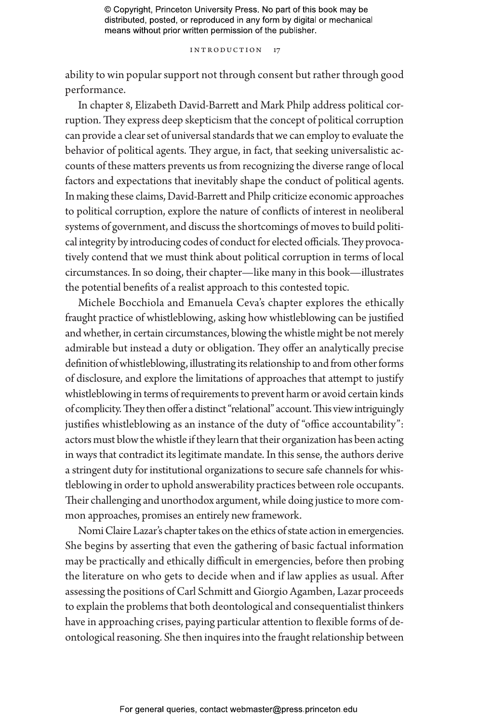#### INTRODUCTION 17

ability to win popular support not through consent but rather through good performance.

In chapter 8, Elizabeth David-Barrett and Mark Philp address political corruption. They express deep skepticism that the concept of political corruption can provide a clear set of universal standards that we can employ to evaluate the behavior of political agents. They argue, in fact, that seeking universalistic accounts of these matters prevents us from recognizing the diverse range of local factors and expectations that inevitably shape the conduct of political agents. In making these claims, David-Barrett and Philp criticize economic approaches to political corruption, explore the nature of conflicts of interest in neoliberal systems of government, and discuss the shortcomings of moves to build political integrity by introducing codes of conduct for elected officials. They provocatively contend that we must think about political corruption in terms of local circumstances. In so doing, their chapter—like many in this book—illustrates the potential benefits of a realist approach to this contested topic.

Michele Bocchiola and Emanuela Ceva's chapter explores the ethically fraught practice of whistleblowing, asking how whistleblowing can be justified and whether, in certain circumstances, blowing the whistle might be not merely admirable but instead a duty or obligation. They offer an analytically precise definition of whistleblowing, illustrating its relationship to and from other forms of disclosure, and explore the limitations of approaches that attempt to justify whistleblowing in terms of requirements to prevent harm or avoid certain kinds of complicity. They then offer a distinct "relational" account. This view intriguingly justifies whistleblowing as an instance of the duty of "office accountability": actors must blow the whistle if they learn that their organization has been acting in ways that contradict its legitimate mandate. In this sense, the authors derive a stringent duty for institutional organizations to secure safe channels for whistleblowing in order to uphold answerability practices between role occupants. Their challenging and unorthodox argument, while doing justice to more common approaches, promises an entirely new framework.

Nomi Claire Lazar's chapter takes on the ethics of state action in emergencies. She begins by asserting that even the gathering of basic factual information may be practically and ethically difficult in emergencies, before then probing the literature on who gets to decide when and if law applies as usual. After assessing the positions of Carl Schmitt and Giorgio Agamben, Lazar proceeds to explain the problems that both deontological and consequentialist thinkers have in approaching crises, paying particular attention to flexible forms of deontological reasoning. She then inquires into the fraught relationship between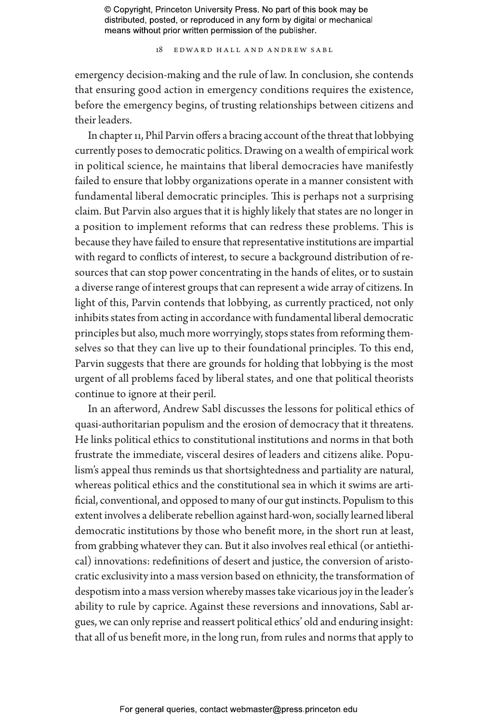18 Edward Hall and Andrew Sabl

emergency decision-making and the rule of law. In conclusion, she contends that ensuring good action in emergency conditions requires the existence, before the emergency begins, of trusting relationships between citizens and their leaders.

In chapter 11, Phil Parvin offers a bracing account of the threat that lobbying currently poses to democratic politics. Drawing on a wealth of empirical work in political science, he maintains that liberal democracies have manifestly failed to ensure that lobby organizations operate in a manner consistent with fundamental liberal democratic principles. This is perhaps not a surprising claim. But Parvin also argues that it is highly likely that states are no longer in a position to implement reforms that can redress these problems. This is because they have failed to ensure that representative institutions are impartial with regard to conflicts of interest, to secure a background distribution of resources that can stop power concentrating in the hands of elites, or to sustain a diverse range of interest groups that can represent a wide array of citizens. In light of this, Parvin contends that lobbying, as currently practiced, not only inhibits states from acting in accordance with fundamental liberal democratic principles but also, much more worryingly, stops states from reforming themselves so that they can live up to their foundational principles. To this end, Parvin suggests that there are grounds for holding that lobbying is the most urgent of all problems faced by liberal states, and one that political theorists continue to ignore at their peril.

In an afterword, Andrew Sabl discusses the lessons for political ethics of quasi-authoritarian populism and the erosion of democracy that it threatens. He links political ethics to constitutional institutions and norms in that both frustrate the immediate, visceral desires of leaders and citizens alike. Populism's appeal thus reminds us that shortsightedness and partiality are natural, whereas political ethics and the constitutional sea in which it swims are artificial, conventional, and opposed to many of our gut instincts. Populism to this extent involves a deliberate rebellion against hard-won, socially learned liberal democratic institutions by those who benefit more, in the short run at least, from grabbing whatever they can. But it also involves real ethical (or antiethical) innovations: redefinitions of desert and justice, the conversion of aristocratic exclusivity into a mass version based on ethnicity, the transformation of despotism into a mass version whereby masses take vicarious joy in the leader's ability to rule by caprice. Against these reversions and innovations, Sabl argues, we can only reprise and reassert political ethics' old and enduring insight: that all of us benefit more, in the long run, from rules and norms that apply to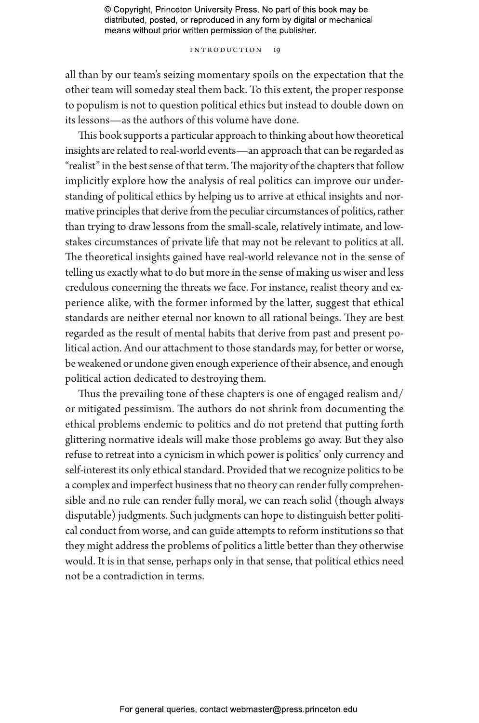#### INTRODUCTION 19

all than by our team's seizing momentary spoils on the expectation that the other team will someday steal them back. To this extent, the proper response to populism is not to question political ethics but instead to double down on its lessons—as the authors of this volume have done.

This book supports a particular approach to thinking about how theoretical insights are related to real-world events—an approach that can be regarded as "realist" in the best sense of that term. The majority of the chapters that follow implicitly explore how the analysis of real politics can improve our understanding of political ethics by helping us to arrive at ethical insights and normative principles that derive from the peculiar circumstances of politics, rather than trying to draw lessons from the small-scale, relatively intimate, and lowstakes circumstances of private life that may not be relevant to politics at all. The theoretical insights gained have real-world relevance not in the sense of telling us exactly what to do but more in the sense of making us wiser and less credulous concerning the threats we face. For instance, realist theory and experience alike, with the former informed by the latter, suggest that ethical standards are neither eternal nor known to all rational beings. They are best regarded as the result of mental habits that derive from past and present political action. And our attachment to those standards may, for better or worse, be weakened or undone given enough experience of their absence, and enough political action dedicated to destroying them.

Thus the prevailing tone of these chapters is one of engaged realism and/ or mitigated pessimism. The authors do not shrink from documenting the ethical problems endemic to politics and do not pretend that putting forth glittering normative ideals will make those problems go away. But they also refuse to retreat into a cynicism in which power is politics' only currency and self-interest its only ethical standard. Provided that we recognize politics to be a complex and imperfect business that no theory can render fully comprehensible and no rule can render fully moral, we can reach solid (though always disputable) judgments. Such judgments can hope to distinguish better political conduct from worse, and can guide attempts to reform institutions so that they might address the problems of politics a little better than they otherwise would. It is in that sense, perhaps only in that sense, that political ethics need not be a contradiction in terms.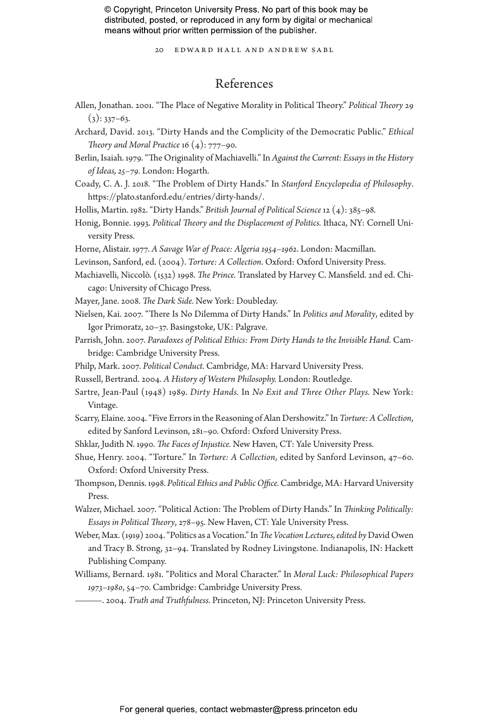20 Edward Hall and Andrew Sabl

## References

- Allen, Jonathan. 2001. "The Place of Negative Morality in Political Theory." *Political Theory* 29  $(3): 337-63.$
- Archard, David. 2013. "Dirty Hands and the Complicity of the Democratic Public." *Ethical Theory and Moral Practice* 16 (4): 777–90.
- Berlin, Isaiah. 1979. "The Originality of Machiavelli." In *Against the Current: Essays in the History of Ideas, 25–79.* London: Hogarth.
- Coady, C. A. J. 2018. "The Problem of Dirty Hands." In *Stanford Encyclopedia of Philosophy*. https://plato.stanford.edu/entries/dirty-hands/.
- Hollis, Martin. 1982. "Dirty Hands." *British Journal of Political Science* 12 (4): 385–98.
- Honig, Bonnie. 1993. *Political Theory and the Displacement of Politics.* Ithaca, NY: Cornell University Press.
- Horne, Alistair. 1977. *A Savage War of Peace: Algeria 1954–1962*. London: Macmillan.
- Levinson, Sanford, ed. (2004). *Torture: A Collection*. Oxford: Oxford University Press.
- Machiavelli, Niccolò. (1532) 1998. *The Prince.* Translated by Harvey C. Mansfield. 2nd ed. Chicago: University of Chicago Press.
- Mayer, Jane. 2008. *The Dark Side.* New York: Doubleday.
- Nielsen, Kai. 2007. "There Is No Dilemma of Dirty Hands." In *Politics and Morality*, edited by Igor Primoratz, 20–37. Basingstoke, UK: Palgrave.
- Parrish, John. 2007. *Paradoxes of Political Ethics: From Dirty Hands to the Invisible Hand.* Cambridge: Cambridge University Press.
- Philp, Mark. 2007. *Political Conduct.* Cambridge, MA: Harvard University Press.
- Russell, Bertrand. 2004. *A History of Western Philosophy.* London: Routledge.
- Sartre, Jean-Paul (1948) 1989. *Dirty Hands.* In *No Exit and Three Other Plays.* New York: Vintage.
- Scarry, Elaine. 2004. "Five Errors in the Reasoning of Alan Dershowitz." In *Torture: A Collection*, edited by Sanford Levinson, 281–90. Oxford: Oxford University Press.
- Shklar, Judith N. 1990. *The Faces of Injustice.* New Haven, CT: Yale University Press.
- Shue, Henry. 2004. "Torture." In *Torture: A Collection*, edited by Sanford Levinson, 47–60. Oxford: Oxford University Press.
- Thompson, Dennis. 1998. *Political Ethics and Public Office.* Cambridge, MA: Harvard University Press.
- Walzer, Michael. 2007. "Political Action: The Problem of Dirty Hands." In *Thinking Politically: Essays in Political Theory*, 278–95. New Haven, CT: Yale University Press.
- Weber, Max. (1919) 2004. "Politics as a Vocation." In *The Vocation Lectures, edited by* David Owen and Tracy B. Strong, 32–94. Translated by Rodney Livingstone. Indianapolis, IN: Hackett Publishing Company.
- Williams, Bernard. 1981. "Politics and Moral Character." In *Moral Luck: Philosophical Papers 1973–1980*, 54–70. Cambridge: Cambridge University Press.
- ———. 2004. *Truth and Truthfulness.* Princeton, NJ: Princeton University Press.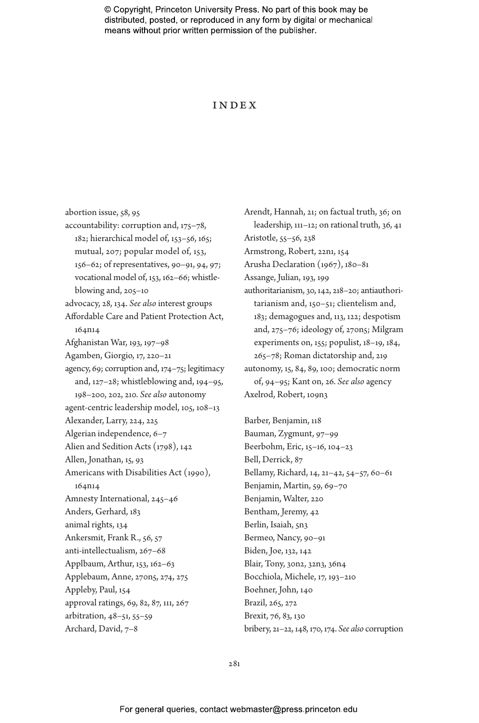#### Index

abortion issue, 58, 95 accountability: corruption and, 175–78, 182; hierarchical model of, 153–56, 165; mutual, 207; popular model of, 153, 156–62; of representatives, 90–91, 94, 97; vocational model of, 153, 162–66; whistleblowing and, 205–10 advocacy, 28, 134. *See also* interest groups Affordable Care and Patient Protection Act, 164n14 Afghanistan War, 193, 197–98 Agamben, Giorgio, 17, 220–21 agency, 69; corruption and, 174–75; legitimacy and, 127–28; whistleblowing and, 194–95, 198–200, 202, 210. *See also* autonomy agent-centric leadership model, 105, 108–13 Alexander, Larry, 224, 225 Algerian independence, 6–7 Alien and Sedition Acts (1798), 142 Allen, Jonathan, 15, 93 Americans with Disabilities Act (1990), 164n14 Amnesty International, 245–46 Anders, Gerhard, 183 animal rights, 134 Ankersmit, Frank R., 56, 57 anti-intellectualism, 267–68 Applbaum, Arthur, 153, 162–63 Applebaum, Anne, 270n5, 274, 275 Appleby, Paul, 154 approval ratings, 69, 82, 87, 111, 267 arbitration, 48–51, 55–59 Archard, David, 7–8

Arendt, Hannah, 21; on factual truth, 36; on leadership, 111–12; on rational truth, 36, 41 Aristotle, 55–56, 238 Armstrong, Robert, 22n1, 154 Arusha Declaration (1967), 180–81 Assange, Julian, 193, 199 authoritarianism, 30, 142, 218–20; antiauthoritarianism and, 150–51; clientelism and, 183; demagogues and, 113, 122; despotism and, 275–76; ideology of, 270n5; Milgram experiments on, 155; populist, 18–19, 184, 265–78; Roman dictatorship and, 219 autonomy, 15, 84, 89, 100; democratic norm of, 94–95; Kant on, 26. *See also* agency Axelrod, Robert, 109n3

Barber, Benjamin, 118 Bauman, Zygmunt, 97–99 Beerbohm, Eric, 15–16, 104–23 Bell, Derrick, 87 Bellamy, Richard, 14, 21–42, 54–57, 60–61 Benjamin, Martin, 59, 69–70 Benjamin, Walter, 220 Bentham, Jeremy, 42 Berlin, Isaiah, 5n3 Bermeo, Nancy, 90–91 Biden, Joe, 132, 142 Blair, Tony, 30n2, 32n3, 36n4 Bocchiola, Michele, 17, 193–210 Boehner, John, 140 Brazil, 265, 272 Brexit, 76, 83, 130 bribery, 21–22, 148, 170, 174. *See also* corruption

281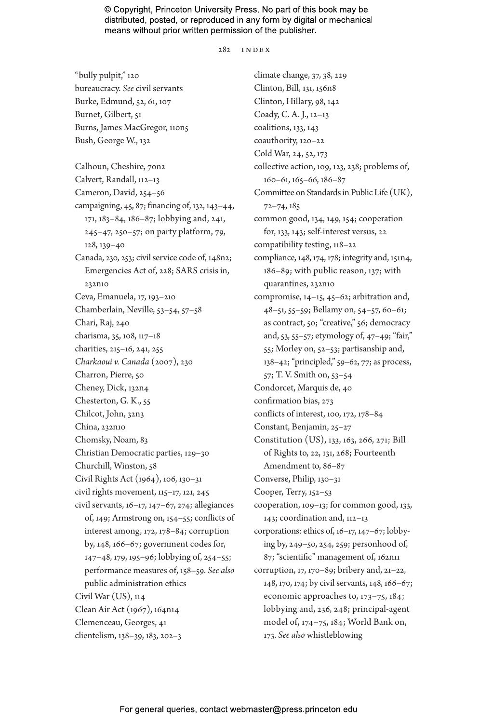$2.82$  INDEX

"bully pulpit," 120 bureaucracy. *See* civil servants Burke, Edmund, 52, 61, 107 Burnet, Gilbert, 51 Burns, James MacGregor, 110n5 Bush, George W., 132 Calhoun, Cheshire, 70n2 Calvert, Randall, 112–13 Cameron, David, 254–56 campaigning, 45, 87; financing of, 132, 143–44, 171, 183–84, 186–87; lobbying and, 241, 245–47, 250–57; on party platform, 79, 128, 139–40 Canada, 230, 253; civil service code of, 148n2; Emergencies Act of, 228; SARS crisis in, 232n10 Ceva, Emanuela, 17, 193–210 Chamberlain, Neville, 53–54, 57–58 Chari, Raj, 240 charisma, 35, 108, 117–18 charities, 215–16, 241, 255 *Charkaoui v. Canada* (2007), 230 Charron, Pierre, 50 Cheney, Dick, 132n4 Chesterton, G. K., 55 Chilcot, John, 32n3 China, 232n10 Chomsky, Noam, 83 Christian Democratic parties, 129–30 Churchill, Winston, 58 Civil Rights Act (1964), 106, 130–31 civil rights movement, 115–17, 121, 245 civil servants, 16–17, 147–67, 274; allegiances of, 149; Armstrong on, 154–55; conflicts of interest among, 172, 178–84; corruption by, 148, 166–67; government codes for, 147–48, 179, 195–96; lobbying of, 254–55; performance measures of, 158–59. *See also* public administration ethics Civil War (US), 114 Clean Air Act (1967), 164n14 Clemenceau, Georges, 41 clientelism, 138–39, 183, 202–3

climate change, 37, 38, 229 Clinton, Bill, 131, 156n8 Clinton, Hillary, 98, 142 Coady, C. A. J., 12–13 coalitions, 133, 143 coauthority, 120–22 Cold War, 24, 52, 173 collective action, 109, 123, 238; problems of, 160–61, 165–66, 186–87 Committee on Standards in Public Life (UK), 72–74, 185 common good, 134, 149, 154; cooperation for, 133, 143; self-interest versus, 22 compatibility testing, 118–22 compliance, 148, 174, 178; integrity and, 151n4, 186–89; with public reason, 137; with quarantines, 232n10 compromise, 14–15, 45–62; arbitration and, 48–51, 55–59; Bellamy on, 54–57, 60–61; as contract, 50; "creative," 56; democracy and, 53, 55–57; etymology of, 47–49; "fair," 55; Morley on, 52–53; partisanship and, 138–42; "principled," 59–62, 77; as process, 57; T. V. Smith on, 53–54 Condorcet, Marquis de, 40 confirmation bias, 273 conflicts of interest, 100, 172, 178–84 Constant, Benjamin, 25–27 Constitution (US), 133, 163, 266, 271; Bill of Rights to, 22, 131, 268; Fourteenth Amendment to, 86–87 Converse, Philip, 130–31 Cooper, Terry, 152–53 cooperation, 109–13; for common good, 133, 143; coordination and, 112–13 corporations: ethics of, 16–17, 147–67; lobbying by, 249–50, 254, 259; personhood of, 87; "scientific" management of, 162n11 corruption, 17, 170–89; bribery and, 21–22, 148, 170, 174; by civil servants, 148, 166–67; economic approaches to, 173–75, 184; lobbying and, 236, 248; principal-agent model of, 174–75, 184; World Bank on, 173. *See also* whistleblowing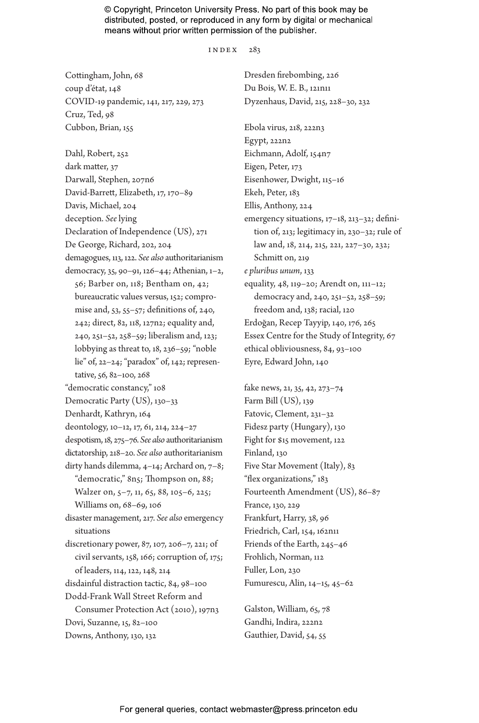#### index 283

Cottingham, John, 68 coup d'état, 148 COVID-19 pandemic, 141, 217, 229, 273 Cruz, Ted, 98 Cubbon, Brian, 155

Dahl, Robert, 252 dark matter, 37 Darwall, Stephen, 207n6 David-Barrett, Elizabeth, 17, 170–89 Davis, Michael, 204 deception. *See* lying Declaration of Independence (US), 271 De George, Richard, 202, 204 demagogues, 113, 122. *See also* authoritarianism democracy, 35, 90–91, 126–44; Athenian, 1–2, 56; Barber on, 118; Bentham on, 42; bureaucratic values versus, 152; compromise and, 53, 55–57; definitions of, 240, 242; direct, 82, 118, 127n2; equality and, 240, 251–52, 258–59; liberalism and, 123; lobbying as threat to, 18, 236–59; "noble lie" of, 22–24; "paradox" of, 142; representative, 56, 82–100, 268 "democratic constancy," 108 Democratic Party (US), 130–33 Denhardt, Kathryn, 164 deontology, 10–12, 17, 61, 214, 224–27 despotism, 18, 275–76. *See also* authoritarianism dictatorship, 218–20. *See also* authoritarianism dirty hands dilemma, 4–14; Archard on, 7–8; "democratic," 8n5; Thompson on, 88; Walzer on, 5–7, 11, 65, 88, 105–6, 225; Williams on, 68–69, 106 disaster management, 217. *See also* emergency situations discretionary power, 87, 107, 206–7, 221; of civil servants, 158, 166; corruption of, 175; of leaders, 114, 122, 148, 214 disdainful distraction tactic, 84, 98–100 Dodd-Frank Wall Street Reform and Consumer Protection Act (2010), 197n3 Dovi, Suzanne, 15, 82–100 Downs, Anthony, 130, 132

Dresden firebombing, 226 Du Bois, W. E. B., 121n11 Dyzenhaus, David, 215, 228–30, 232 Ebola virus, 218, 222n3 Egypt, 222n2 Eichmann, Adolf, 154n7 Eigen, Peter, 173 Eisenhower, Dwight, 115–16 Ekeh, Peter, 183 Ellis, Anthony, 224 emergency situations, 17–18, 213–32; definition of, 213; legitimacy in, 230–32; rule of law and, 18, 214, 215, 221, 227–30, 232; Schmitt on, 219 *e pluribus unum*, 133 equality, 48, 119–20; Arendt on, 111–12; democracy and, 240, 251–52, 258–59; freedom and, 138; racial, 120 Erdoğan, Recep Tayyip, 140, 176, 265 Essex Centre for the Study of Integrity, 67 ethical obliviousness, 84, 93–100 Eyre, Edward John, 140

fake news, 21, 35, 42, 273–74 Farm Bill (US), 139 Fatovic, Clement, 231–32 Fidesz party (Hungary), 130 Fight for \$15 movement, 122 Finland, 130 Five Star Movement (Italy), 83 "flex organizations," 183 Fourteenth Amendment (US), 86–87 France, 130, 229 Frankfurt, Harry, 38, 96 Friedrich, Carl, 154, 162n11 Friends of the Earth, 245–46 Frohlich, Norman, 112 Fuller, Lon, 230 Fumurescu, Alin, 14–15, 45–62

Galston, William, 65, 78 Gandhi, Indira, 222n2 Gauthier, David, 54, 55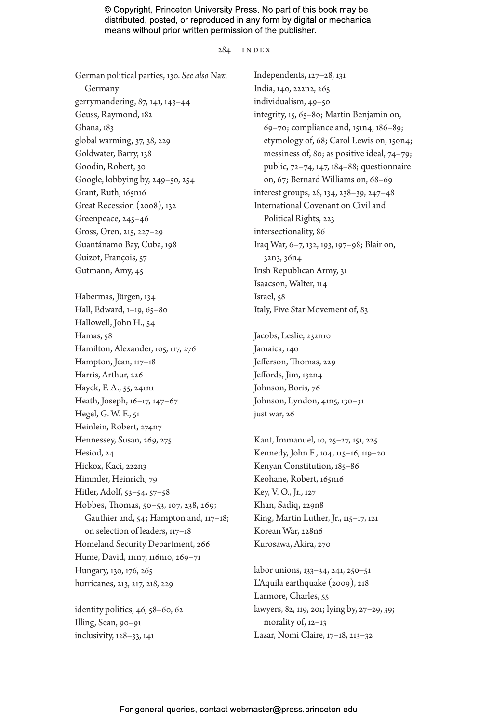284 index

German political parties, 130. *See also* Nazi Germany gerrymandering, 87, 141, 143–44 Geuss, Raymond, 182 Ghana, 183 global warming, 37, 38, 229 Goldwater, Barry, 138 Goodin, Robert, 30 Google, lobbying by, 249–50, 254 Grant, Ruth, 165n16 Great Recession (2008), 132 Greenpeace, 245–46 Gross, Oren, 215, 227–29 Guantánamo Bay, Cuba, 198 Guizot, François, 57 Gutmann, Amy, 45 Habermas, Jürgen, 134 Hall, Edward, 1–19, 65–80 Hallowell, John H., 54 Hamas, 58 Hamilton, Alexander, 105, 117, 276 Hampton, Jean, 117–18 Harris, Arthur, 226 Hayek, F. A., 55, 241n1 Heath, Joseph, 16–17, 147–67 Hegel, G. W. F., 51 Heinlein, Robert, 274n7 Hennessey, Susan, 269, 275 Hesiod, 24 Hickox, Kaci, 222n3 Himmler, Heinrich, 79 Hitler, Adolf, 53–54, 57–58 Hobbes, Thomas, 50–53, 107, 238, 269; Gauthier and, 54; Hampton and, 117–18; on selection of leaders, 117–18 Homeland Security Department, 266 Hume, David, 111n7, 116n10, 269–71 Hungary, 130, 176, 265 hurricanes, 213, 217, 218, 229

identity politics, 46, 58–60, 62 Illing, Sean, 90–91 inclusivity, 128–33, 141

Independents, 127–28, 131 India, 140, 222n2, 265 individualism, 49–50 integrity, 15, 65–80; Martin Benjamin on, 69–70; compliance and, 151n4, 186–89; etymology of, 68; Carol Lewis on, 150n4; messiness of, 80; as positive ideal, 74–79; public, 72–74, 147, 184–88; questionnaire on, 67; Bernard Williams on, 68–69 interest groups, 28, 134, 238–39, 247–48 International Covenant on Civil and Political Rights, 223 intersectionality, 86 Iraq War, 6–7, 132, 193, 197–98; Blair on, 32n3, 36n4 Irish Republican Army, 31 Isaacson, Walter, 114 Israel, 58 Italy, Five Star Movement of, 83

Jacobs, Leslie, 232n10 Jamaica, 140 Jefferson, Thomas, 229 Jeffords, Jim, 132n4 Johnson, Boris, 76 Johnson, Lyndon, 41n5, 130–31 just war, 26

Kant, Immanuel, 10, 25–27, 151, 225 Kennedy, John F., 104, 115–16, 119–20 Kenyan Constitution, 185–86 Keohane, Robert, 165n16 Key, V. O., Jr., 127 Khan, Sadiq, 229n8 King, Martin Luther, Jr., 115–17, 121 Korean War, 228n6 Kurosawa, Akira, 270

labor unions, 133–34, 241, 250–51 L'Aquila earthquake (2009), 218 Larmore, Charles, 55 lawyers, 82, 119, 201; lying by, 27–29, 39; morality of, 12-13 Lazar, Nomi Claire, 17–18, 213–32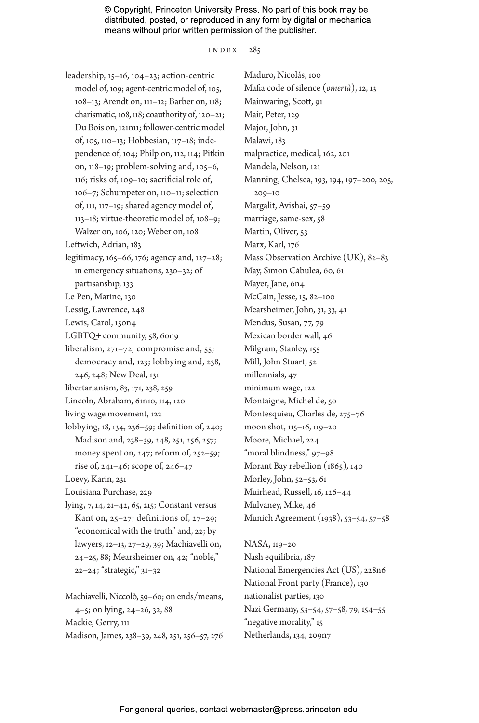index 285

leadership, 15–16, 104–23; action-centric model of, 109; agent-centric model of, 105, 108–13; Arendt on, 111–12; Barber on, 118; charismatic, 108, 118; coauthority of, 120–21; Du Bois on, 121n11; follower-centric model of, 105, 110–13; Hobbesian, 117–18; independence of, 104; Philp on, 112, 114; Pitkin on, 118–19; problem-solving and, 105–6, 116; risks of, 109–10; sacrificial role of, 106–7; Schumpeter on, 110–11; selection of, 111, 117–19; shared agency model of, 113–18; virtue-theoretic model of, 108–9;

Walzer on, 106, 120; Weber on, 108 Leftwich, Adrian, 183

- legitimacy, 165–66, 176; agency and, 127–28; in emergency situations, 230–32; of partisanship, 133
- Le Pen, Marine, 130
- Lessig, Lawrence, 248
- Lewis, Carol, 150n4
- LGBTQ+ community, 58, 60n9
- liberalism, 271–72; compromise and, 55; democracy and, 123; lobbying and, 238, 246, 248; New Deal, 131
- libertarianism, 83, 171, 238, 259
- Lincoln, Abraham, 61n10, 114, 120
- living wage movement, 122
- lobbying, 18, 134, 236–59; definition of, 240; Madison and, 238–39, 248, 251, 256, 257; money spent on, 247; reform of, 252–59; rise of, 241–46; scope of, 246–47
- Loevy, Karin, 231

Louisiana Purchase, 229

lying, 7, 14, 21–42, 65, 215; Constant versus Kant on, 25–27; definitions of, 27–29; "economical with the truth" and, 22; by lawyers, 12–13, 27–29, 39; Machiavelli on, 24–25, 88; Mearsheimer on, 42; "noble," 22–24; "strategic," 31–32

Machiavelli, Niccolò, 59–60; on ends/means, 4–5; on lying, 24–26, 32, 88 Mackie, Gerry, 111 Madison, James, 238–39, 248, 251, 256–57, 276

Maduro, Nicolás, 100 Mafia code of silence (*omertà*), 12, 13 Mainwaring, Scott, 91 Mair, Peter, 129 Major, John, 31 Malawi, 183 malpractice, medical, 162, 201 Mandela, Nelson, 121 Manning, Chelsea, 193, 194, 197–200, 205, 209–10 Margalit, Avishai, 57–59 marriage, same-sex, 58 Martin, Oliver, 53 Marx, Karl, 176 Mass Observation Archive (UK), 82–83 May, Simon Căbulea, 60, 61 Mayer, Jane, 6n4 McCain, Jesse, 15, 82–100 Mearsheimer, John, 31, 33, 41 Mendus, Susan, 77, 79 Mexican border wall, 46 Milgram, Stanley, 155 Mill, John Stuart, 52 millennials, 47 minimum wage, 122 Montaigne, Michel de, 50 Montesquieu, Charles de, 275–76 moon shot, 115–16, 119–20 Moore, Michael, 224 "moral blindness," 97–98 Morant Bay rebellion (1865), 140 Morley, John, 52–53, 61 Muirhead, Russell, 16, 126–44 Mulvaney, Mike, 46 Munich Agreement (1938), 53–54, 57–58

NASA, 119–20 Nash equilibria, 187 National Emergencies Act (US), 228n6 National Front party (France), 130 nationalist parties, 130 Nazi Germany, 53–54, 57–58, 79, 154–55 "negative morality," 15 Netherlands, 134, 209n7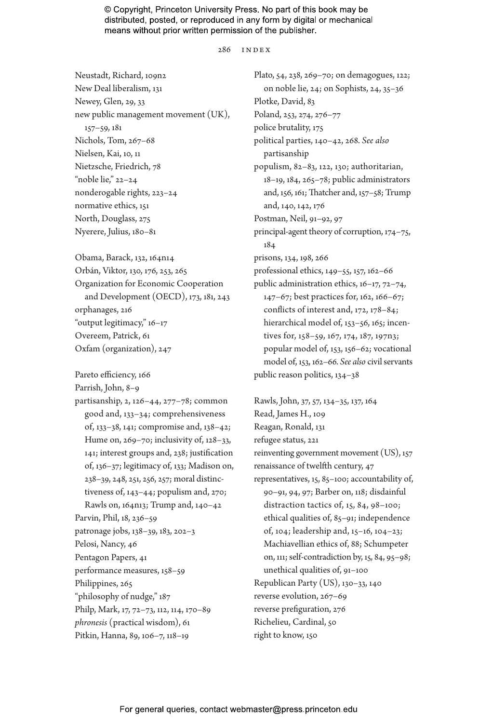#### 286 index

Neustadt, Richard, 109n2 New Deal liberalism, 131 Newey, Glen, 29, 33 new public management movement (UK), 157–59, 181 Nichols, Tom, 267–68 Nielsen, Kai, 10, 11 Nietzsche, Friedrich, 78 "noble lie," 22–24 nonderogable rights, 223–24 normative ethics, 151 North, Douglass, 275 Nyerere, Julius, 180–81

Obama, Barack, 132, 164n14 Orbán, Viktor, 130, 176, 253, 265 Organization for Economic Cooperation and Development (OECD), 173, 181, 243 orphanages, 216 "output legitimacy," 16–17 Overeem, Patrick, 61 Oxfam (organization), 247

Pareto efficiency, 166

Parrish, John, 8–9

partisanship, 2, 126–44, 277–78; common good and, 133–34; comprehensiveness of, 133–38, 141; compromise and, 138–42; Hume on, 269–70; inclusivity of, 128–33, 141; interest groups and, 238; justification of, 136–37; legitimacy of, 133; Madison on, 238–39, 248, 251, 256, 257; moral distinctiveness of, 143–44; populism and, 270; Rawls on, 164n13; Trump and, 140–42 Parvin, Phil, 18, 236–59 patronage jobs, 138–39, 183, 202–3 Pelosi, Nancy, 46 Pentagon Papers, 41 performance measures, 158–59 Philippines, 265 "philosophy of nudge," 187 Philp, Mark, 17, 72–73, 112, 114, 170–89 *phronesis* (practical wisdom), 61 Pitkin, Hanna, 89, 106–7, 118–19

Plato, 54, 238, 269–70; on demagogues, 122; on noble lie, 24; on Sophists, 24, 35–36 Plotke, David, 83 Poland, 253, 274, 276–77 police brutality, 175 political parties, 140–42, 268. *See also* partisanship populism, 82–83, 122, 130; authoritarian, 18–19, 184, 265–78; public administrators and, 156, 161; Thatcher and, 157–58; Trump and, 140, 142, 176 Postman, Neil, 91–92, 97 principal-agent theory of corruption, 174–75, 184 prisons, 134, 198, 266 professional ethics, 149–55, 157, 162–66 public administration ethics, 16–17, 72–74, 147–67; best practices for, 162, 166–67; conflicts of interest and, 172, 178–84; hierarchical model of, 153-56, 165; incentives for, 158–59, 167, 174, 187, 197n3; popular model of, 153, 156–62; vocational model of, 153, 162–66. *See also* civil servants public reason politics, 134–38

Rawls, John, 37, 57, 134–35, 137, 164 Read, James H., 109 Reagan, Ronald, 131 refugee status, 221 reinventing government movement (US), 157 renaissance of twelfth century, 47 representatives, 15, 85–100; accountability of, 90–91, 94, 97; Barber on, 118; disdainful distraction tactics of, 15, 84, 98–100; ethical qualities of, 85–91; independence of, 104; leadership and, 15–16, 104–23; Machiavellian ethics of, 88; Schumpeter on, 111; self-contradiction by, 15, 84, 95–98; unethical qualities of, 91–100 Republican Party (US), 130–33, 140 reverse evolution, 267–69 reverse prefiguration, 276 Richelieu, Cardinal, 50 right to know, 150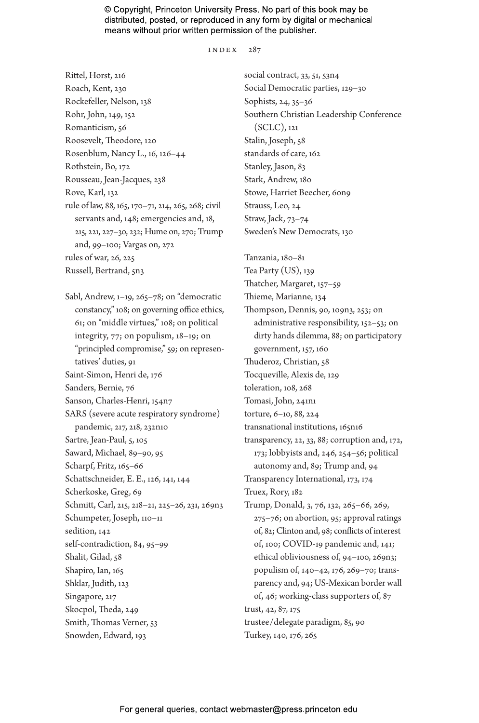index 287

Rittel, Horst, 216 Roach, Kent, 230 Rockefeller, Nelson, 138 Rohr, John, 149, 152 Romanticism, 56 Roosevelt, Theodore, 120 Rosenblum, Nancy L., 16, 126–44 Rothstein, Bo, 172 Rousseau, Jean-Jacques, 238 Rove, Karl, 132 rule of law, 88, 165, 170–71, 214, 265, 268; civil servants and, 148; emergencies and, 18, 215, 221, 227–30, 232; Hume on, 270; Trump and, 99–100; Vargas on, 272 rules of war, 26, 225 Russell, Bertrand, 5n3

Sabl, Andrew, 1–19, 265–78; on "democratic constancy," 108; on governing office ethics, 61; on "middle virtues," 108; on political integrity, 77; on populism, 18–19; on "principled compromise," 59; on representatives' duties, 91 Saint-Simon, Henri de, 176 Sanders, Bernie, 76 Sanson, Charles-Henri, 154n7 SARS (severe acute respiratory syndrome) pandemic, 217, 218, 232n10 Sartre, Jean-Paul, 5, 105 Saward, Michael, 89–90, 95 Scharpf, Fritz, 165-66 Schattschneider, E. E., 126, 141, 144 Scherkoske, Greg, 69 Schmitt, Carl, 215, 218–21, 225–26, 231, 269n3 Schumpeter, Joseph, 110–11 sedition, 142 self-contradiction, 84, 95–99 Shalit, Gilad, 58 Shapiro, Ian, 165 Shklar, Judith, 123 Singapore, 217 Skocpol, Theda, 249 Smith, Thomas Verner, 53 Snowden, Edward, 193

social contract, 33, 51, 53n4 Social Democratic parties, 129–30 Sophists, 24, 35–36 Southern Christian Leadership Conference (SCLC), 121 Stalin, Joseph, 58 standards of care, 162 Stanley, Jason, 83 Stark, Andrew, 180 Stowe, Harriet Beecher, 60n9 Strauss, Leo, 24 Straw, Jack, 73–74 Sweden's New Democrats, 130

Tanzania, 180–81 Tea Party (US), 139 Thatcher, Margaret, 157–59 Thieme, Marianne, 134 Thompson, Dennis, 90, 109n3, 253; on administrative responsibility, 152–53; on dirty hands dilemma, 88; on participatory government, 157, 160 Thuderoz, Christian, 58 Tocqueville, Alexis de, 129 toleration, 108, 268 Tomasi, John, 241n1 torture, 6–10, 88, 224 transnational institutions, 165n16 transparency, 22, 33, 88; corruption and, 172, 173; lobbyists and, 246, 254–56; political autonomy and, 89; Trump and, 94 Transparency International, 173, 174 Truex, Rory, 182 Trump, Donald, 3, 76, 132, 265–66, 269, 275–76; on abortion, 95; approval ratings of, 82; Clinton and, 98; conflicts of interest of, 100; COVID-19 pandemic and, 141; ethical obliviousness of, 94–100, 269n3; populism of, 140–42, 176, 269–70; transparency and, 94; US-Mexican border wall of, 46; working-class supporters of, 87 trust, 42, 87, 175 trustee/delegate paradigm, 85, 90 Turkey, 140, 176, 265